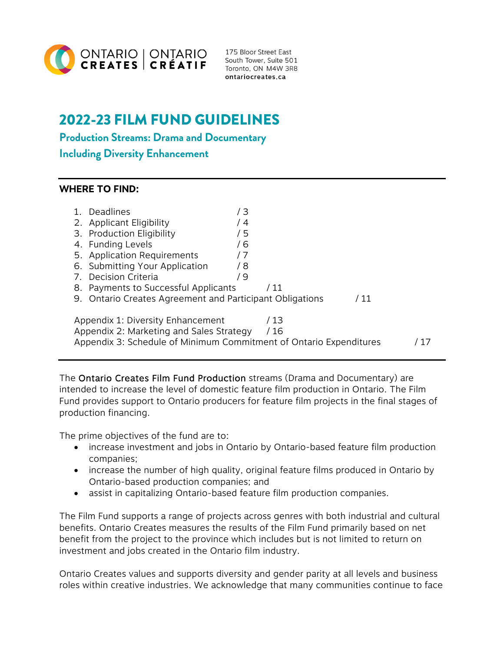

175 Bloor Street East South Tower, Suite 501 Toronto, ON M4W 3R8 ontariocreates.ca

# 2022-23 FILM FUND GUIDELINES

**Production Streams: Drama and Documentary** 

#### **Including Diversity Enhancement**

#### **WHERE TO FIND:**

| $1_{-}$                                                                                                                                                             | Deadlines<br>2. Applicant Eligibility<br>3. Production Eligibility<br>4. Funding Levels<br>5. Application Requirements<br>6. Submitting Your Application<br>7. Decision Criteria<br>8. Payments to Successful Applicants | 73<br>14<br>/ 5<br>76<br>7 /<br>/ 8<br>79 | $'$ 11 |      |  |
|---------------------------------------------------------------------------------------------------------------------------------------------------------------------|--------------------------------------------------------------------------------------------------------------------------------------------------------------------------------------------------------------------------|-------------------------------------------|--------|------|--|
|                                                                                                                                                                     | 9. Ontario Creates Agreement and Participant Obligations                                                                                                                                                                 |                                           |        | / 11 |  |
| Appendix 1: Diversity Enhancement<br>/ 13<br>Appendix 2: Marketing and Sales Strategy<br>/ 16<br>Appendix 3: Schedule of Minimum Commitment of Ontario Expenditures |                                                                                                                                                                                                                          |                                           |        |      |  |

The Ontario Creates Film Fund Production streams (Drama and Documentary) are intended to increase the level of domestic feature film production in Ontario. The Film Fund provides support to Ontario producers for feature film projects in the final stages of production financing.

The prime objectives of the fund are to:

- increase investment and jobs in Ontario by Ontario-based feature film production companies;
- increase the number of high quality, original feature films produced in Ontario by Ontario-based production companies; and
- assist in capitalizing Ontario-based feature film production companies.

The Film Fund supports a range of projects across genres with both industrial and cultural benefits. Ontario Creates measures the results of the Film Fund primarily based on net benefit from the project to the province which includes but is not limited to return on investment and jobs created in the Ontario film industry.

Ontario Creates values and supports diversity and gender parity at all levels and business roles within creative industries. We acknowledge that many communities continue to face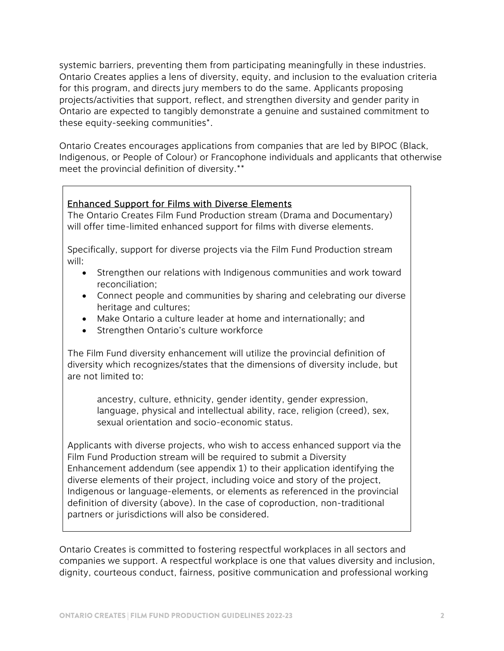systemic barriers, preventing them from participating meaningfully in these industries. Ontario Creates applies a lens of diversity, equity, and inclusion to the evaluation criteria for this program, and directs jury members to do the same. Applicants proposing projects/activities that support, reflect, and strengthen diversity and gender parity in Ontario are expected to tangibly demonstrate a genuine and sustained commitment to these equity-seeking communities\*.

Ontario Creates encourages applications from companies that are led by BIPOC (Black, Indigenous, or People of Colour) or Francophone individuals and applicants that otherwise meet the provincial definition of diversity.\*\*

#### Enhanced Support for Films with Diverse Elements

The Ontario Creates Film Fund Production stream (Drama and Documentary) will offer time-limited enhanced support for films with diverse elements.

Specifically, support for diverse projects via the Film Fund Production stream will:

- Strengthen our relations with Indigenous communities and work toward reconciliation;
- Connect people and communities by sharing and celebrating our diverse heritage and cultures;
- Make Ontario a culture leader at home and internationally; and
- Strengthen Ontario's culture workforce

The Film Fund diversity enhancement will utilize the provincial definition of diversity which recognizes/states that the dimensions of diversity include, but are not limited to:

ancestry, culture, ethnicity, gender identity, gender expression, language, physical and intellectual ability, race, religion (creed), sex, sexual orientation and socio-economic status.

Applicants with diverse projects, who wish to access enhanced support via the Film Fund Production stream will be required to submit a Diversity Enhancement addendum (see appendix 1) to their application identifying the diverse elements of their project, including voice and story of the project, Indigenous or language-elements, or elements as referenced in the provincial definition of diversity (above). In the case of coproduction, non-traditional partners or jurisdictions will also be considered.

Ontario Creates is committed to fostering respectful workplaces in all sectors and companies we support. A respectful workplace is one that values diversity and inclusion, dignity, courteous conduct, fairness, positive communication and professional working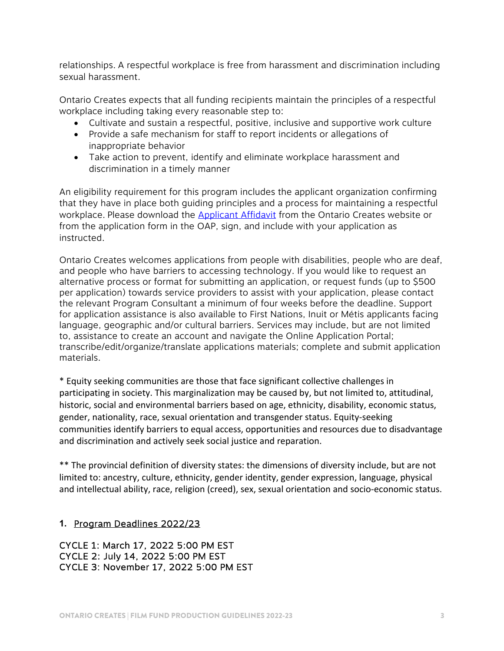relationships. A respectful workplace is free from harassment and discrimination including sexual harassment.

Ontario Creates expects that all funding recipients maintain the principles of a respectful workplace including taking every reasonable step to:

- Cultivate and sustain a respectful, positive, inclusive and supportive work culture
- Provide a safe mechanism for staff to report incidents or allegations of inappropriate behavior
- Take action to prevent, identify and eliminate workplace harassment and discrimination in a timely manner

An eligibility requirement for this program includes the applicant organization confirming that they have in place both guiding principles and a process for maintaining a respectful workplace. Please download the **Applicant Affidavit** from the Ontario Creates website or from the application form in the OAP, sign, and include with your application as instructed.

Ontario Creates welcomes applications from people with disabilities, people who are deaf, and people who have barriers to accessing technology. If you would like to request an alternative process or format for submitting an application, or request funds (up to \$500 per application) towards service providers to assist with your application, please contact the relevant Program Consultant a minimum of four weeks before the deadline. Support for application assistance is also available to First Nations, Inuit or Métis applicants facing language, geographic and/or cultural barriers. Services may include, but are not limited to, assistance to create an account and navigate the Online Application Portal; transcribe/edit/organize/translate applications materials; complete and submit application materials.

\* Equity seeking communities are those that face significant collective challenges in participating in society. This marginalization may be caused by, but not limited to, attitudinal, historic, social and environmental barriers based on age, ethnicity, disability, economic status, gender, nationality, race, sexual orientation and transgender status. Equity‐seeking communities identify barriers to equal access, opportunities and resources due to disadvantage and discrimination and actively seek social justice and reparation.

\*\* The provincial definition of diversity states: the dimensions of diversity include, but are not limited to: ancestry, culture, ethnicity, gender identity, gender expression, language, physical and intellectual ability, race, religion (creed), sex, sexual orientation and socio‐economic status.

#### **1.** Program Deadlines 2022/23

CYCLE 1: March 17, 2022 5:00 PM EST CYCLE 2: July 14, 2022 5:00 PM EST CYCLE 3: November 17, 2022 5:00 PM EST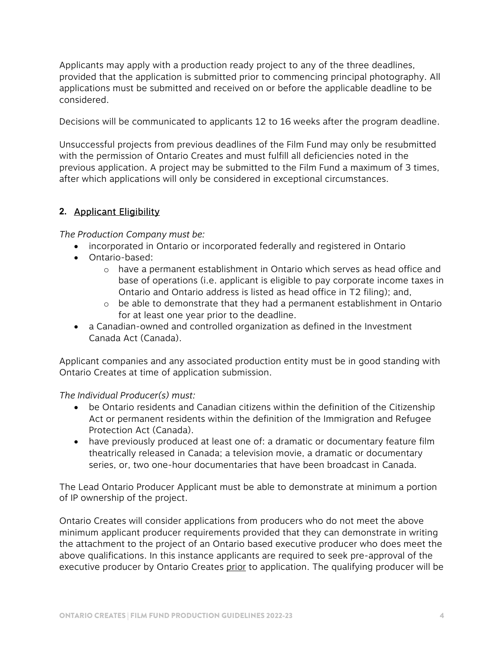Applicants may apply with a production ready project to any of the three deadlines, provided that the application is submitted prior to commencing principal photography. All applications must be submitted and received on or before the applicable deadline to be considered.

Decisions will be communicated to applicants 12 to 16 weeks after the program deadline.

Unsuccessful projects from previous deadlines of the Film Fund may only be resubmitted with the permission of Ontario Creates and must fulfill all deficiencies noted in the previous application. A project may be submitted to the Film Fund a maximum of 3 times, after which applications will only be considered in exceptional circumstances.

#### **2.** Applicant Eligibility

*The Production Company must be:* 

- incorporated in Ontario or incorporated federally and registered in Ontario
- Ontario-based:
	- o have a permanent establishment in Ontario which serves as head office and base of operations (i.e. applicant is eligible to pay corporate income taxes in Ontario and Ontario address is listed as head office in T2 filing); and,
	- o be able to demonstrate that they had a permanent establishment in Ontario for at least one year prior to the deadline.
- a Canadian-owned and controlled organization as defined in the Investment Canada Act (Canada).

Applicant companies and any associated production entity must be in good standing with Ontario Creates at time of application submission.

#### *The Individual Producer(s) must:*

- be Ontario residents and Canadian citizens within the definition of the Citizenship Act or permanent residents within the definition of the Immigration and Refugee Protection Act (Canada).
- have previously produced at least one of: a dramatic or documentary feature film theatrically released in Canada; a television movie, a dramatic or documentary series, or, two one-hour documentaries that have been broadcast in Canada.

The Lead Ontario Producer Applicant must be able to demonstrate at minimum a portion of IP ownership of the project.

Ontario Creates will consider applications from producers who do not meet the above minimum applicant producer requirements provided that they can demonstrate in writing the attachment to the project of an Ontario based executive producer who does meet the above qualifications. In this instance applicants are required to seek pre-approval of the executive producer by Ontario Creates prior to application. The qualifying producer will be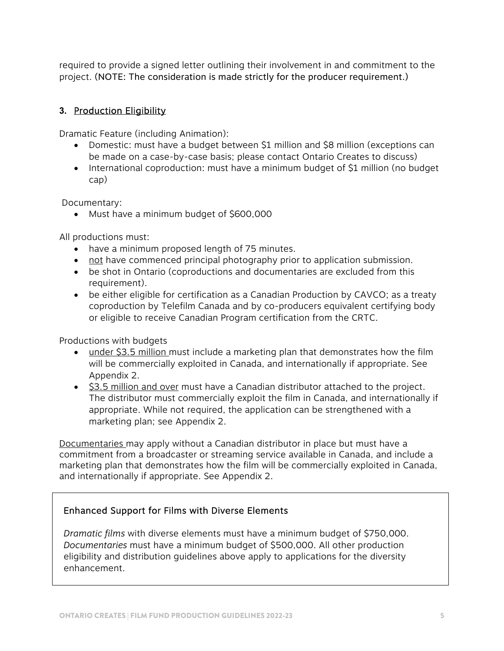required to provide a signed letter outlining their involvement in and commitment to the project. (NOTE: The consideration is made strictly for the producer requirement.)

#### **3.** Production Eligibility

Dramatic Feature (including Animation):

- Domestic: must have a budget between \$1 million and \$8 million (exceptions can be made on a case-by-case basis; please contact Ontario Creates to discuss)
- International coproduction: must have a minimum budget of \$1 million (no budget cap)

Documentary:

Must have a minimum budget of \$600,000

All productions must:

- have a minimum proposed length of 75 minutes.
- not have commenced principal photography prior to application submission.
- be shot in Ontario (coproductions and documentaries are excluded from this requirement).
- be either eligible for certification as a Canadian Production by CAVCO; as a treaty coproduction by Telefilm Canada and by co-producers equivalent certifying body or eligible to receive Canadian Program certification from the CRTC.

Productions with budgets

- under \$3.5 million must include a marketing plan that demonstrates how the film will be commercially exploited in Canada, and internationally if appropriate. See Appendix 2.
- **S3.5 million and over must have a Canadian distributor attached to the project.** The distributor must commercially exploit the film in Canada, and internationally if appropriate. While not required, the application can be strengthened with a marketing plan; see Appendix 2.

Documentaries may apply without a Canadian distributor in place but must have a commitment from a broadcaster or streaming service available in Canada, and include a marketing plan that demonstrates how the film will be commercially exploited in Canada, and internationally if appropriate. See Appendix 2.

#### Enhanced Support for Films with Diverse Elements

*Dramatic films* with diverse elements must have a minimum budget of \$750,000. *Documentaries* must have a minimum budget of \$500,000. All other production eligibility and distribution guidelines above apply to applications for the diversity enhancement.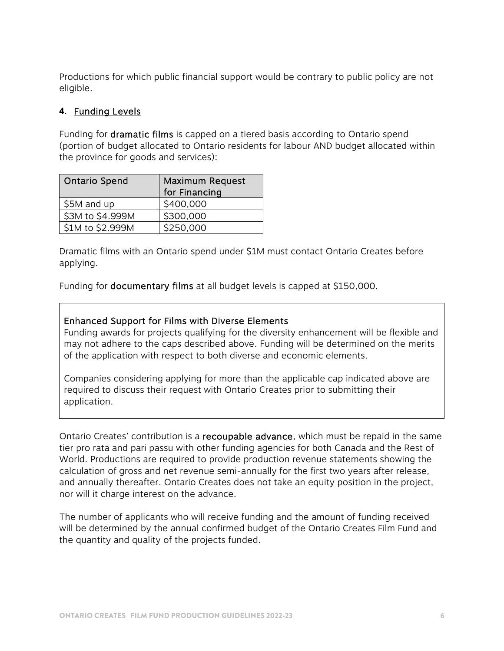Productions for which public financial support would be contrary to public policy are not eligible.

#### **4.** Funding Levels

Funding for dramatic films is capped on a tiered basis according to Ontario spend (portion of budget allocated to Ontario residents for labour AND budget allocated within the province for goods and services):

| <b>Ontario Spend</b> | <b>Maximum Request</b><br>for Financing |
|----------------------|-----------------------------------------|
| \$5M and up          | \$400,000                               |
| \$3M to \$4.999M     | \$300,000                               |
| \$1M to \$2.999M     | \$250,000                               |

Dramatic films with an Ontario spend under \$1M must contact Ontario Creates before applying.

Funding for documentary films at all budget levels is capped at \$150,000.

#### Enhanced Support for Films with Diverse Elements

Funding awards for projects qualifying for the diversity enhancement will be flexible and may not adhere to the caps described above. Funding will be determined on the merits of the application with respect to both diverse and economic elements.

Companies considering applying for more than the applicable cap indicated above are required to discuss their request with Ontario Creates prior to submitting their application.

Ontario Creates' contribution is a recoupable advance, which must be repaid in the same tier pro rata and pari passu with other funding agencies for both Canada and the Rest of World. Productions are required to provide production revenue statements showing the calculation of gross and net revenue semi-annually for the first two years after release, and annually thereafter. Ontario Creates does not take an equity position in the project, nor will it charge interest on the advance.

The number of applicants who will receive funding and the amount of funding received will be determined by the annual confirmed budget of the Ontario Creates Film Fund and the quantity and quality of the projects funded.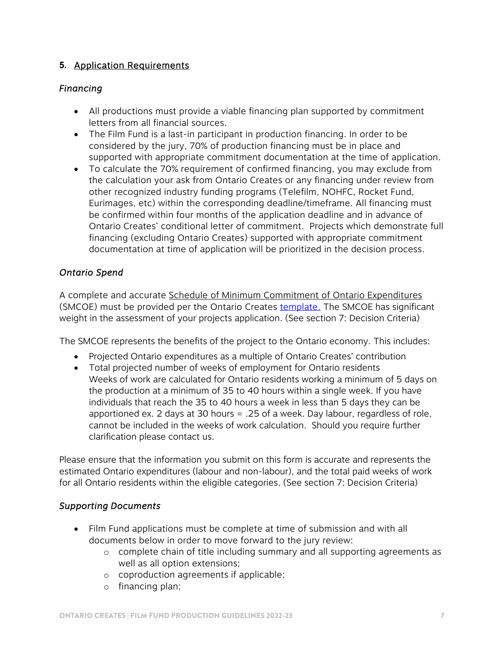#### **5.** Application Requirements

#### *Financing*

- All productions must provide a viable financing plan supported by commitment letters from all financial sources.
- The Film Fund is a last-in participant in production financing. In order to be considered by the jury, 70% of production financing must be in place and supported with appropriate commitment documentation at the time of application.
- To calculate the 70% requirement of confirmed financing, you may exclude from the calculation your ask from Ontario Creates or any financing under review from other recognized industry funding programs (Telefilm, NOHFC, Rocket Fund, Eurimages, etc) within the corresponding deadline/timeframe. All financing must be confirmed within four months of the application deadline and in advance of Ontario Creates' conditional letter of commitment. Projects which demonstrate full financing (excluding Ontario Creates) supported with appropriate commitment documentation at time of application will be prioritized in the decision process.

#### *Ontario Spend*

A complete and accurate Schedule of Minimum Commitment of Ontario Expenditures (SMCOE) must be provided per the Ontario Creates [template. T](https://ontariocreates.ca/uploads/Industry_Initiatives/ENG/Content-and-Marketing/Film-Fund/schedule-of-minimum-commitment-of-ontario-expenditures-2022_EN_FINAL.xls)he SMCOE has significant weight in the assessment of your projects application. (See section 7: Decision Criteria)

The SMCOE represents the benefits of the project to the Ontario economy. This includes:

- Projected Ontario expenditures as a multiple of Ontario Creates' contribution
- Total projected number of weeks of employment for Ontario residents Weeks of work are calculated for Ontario residents working a minimum of 5 days on the production at a minimum of 35 to 40 hours within a single week. If you have individuals that reach the 35 to 40 hours a week in less than 5 days they can be apportioned ex. 2 days at 30 hours = .25 of a week. Day labour, regardless of role, cannot be included in the weeks of work calculation. Should you require further clarification please contact us.

Please ensure that the information you submit on this form is accurate and represents the estimated Ontario expenditures (labour and non-labour), and the total paid weeks of work for all Ontario residents within the eligible categories. (See section 7: Decision Criteria)

#### *Supporting Documents*

- Film Fund applications must be complete at time of submission and with all documents below in order to move forward to the jury review:
	- o complete chain of title including summary and all supporting agreements as well as all option extensions;
	- o coproduction agreements if applicable;
	- o financing plan;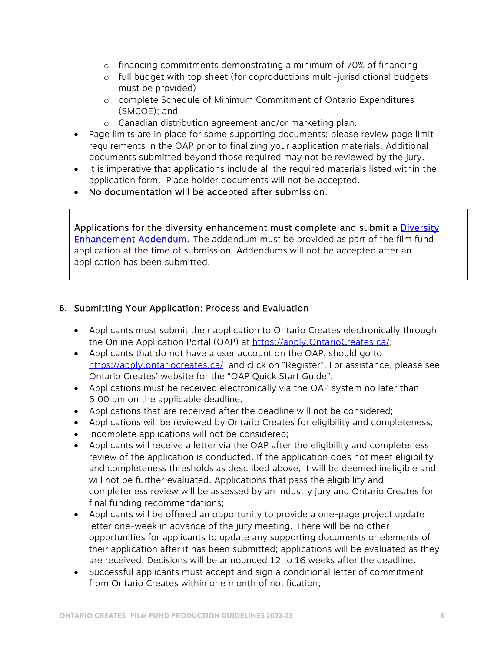- $\circ$  financing commitments demonstrating a minimum of 70% of financing
- o full budget with top sheet (for coproductions multi-jurisdictional budgets must be provided)
- o complete Schedule of Minimum Commitment of Ontario Expenditures (SMCOE); and
- o Canadian distribution agreement and/or marketing plan.
- Page limits are in place for some supporting documents; please review page limit requirements in the OAP prior to finalizing your application materials. Additional documents submitted beyond those required may not be reviewed by the jury.
- It is imperative that applications include all the required materials listed within the application form. Place holder documents will not be accepted.
- No documentation will be accepted after submission.

Applications for the diversity enhancement must complete and submit a **Diversity** [Enhancement Addendum.](https://ontariocreates.ca/uploads/Industry_Initiatives/ENG/Content-and-Marketing/Film-Fund/OMDC-Diversity-Enhancement-Addendum-Template-EN.docx) The addendum must be provided as part of the film fund application at the time of submission. Addendums will not be accepted after an application has been submitted.

#### **6.** Submitting Your Application: Process and Evaluation

- Applicants must submit their application to Ontario Creates electronically through the Online Application Portal (OAP) at https://apply.OntarioCreates.ca/;
- Applicants that do not have a user account on the OAP, should go to https://apply.ontariocreates.ca/ and click on "Register". For assistance, please see Ontario Creates' website for the "OAP Quick Start Guide";
- Applications must be received electronically via the OAP system no later than 5:00 pm on the applicable deadline;
- Applications that are received after the deadline will not be considered;
- Applications will be reviewed by Ontario Creates for eligibility and completeness;
- Incomplete applications will not be considered;
- Applicants will receive a letter via the OAP after the eligibility and completeness review of the application is conducted. If the application does not meet eligibility and completeness thresholds as described above, it will be deemed ineligible and will not be further evaluated. Applications that pass the eligibility and completeness review will be assessed by an industry jury and Ontario Creates for final funding recommendations;
- Applicants will be offered an opportunity to provide a one-page project update letter one-week in advance of the jury meeting. There will be no other opportunities for applicants to update any supporting documents or elements of their application after it has been submitted; applications will be evaluated as they are received. Decisions will be announced 12 to 16 weeks after the deadline.
- Successful applicants must accept and sign a conditional letter of commitment from Ontario Creates within one month of notification;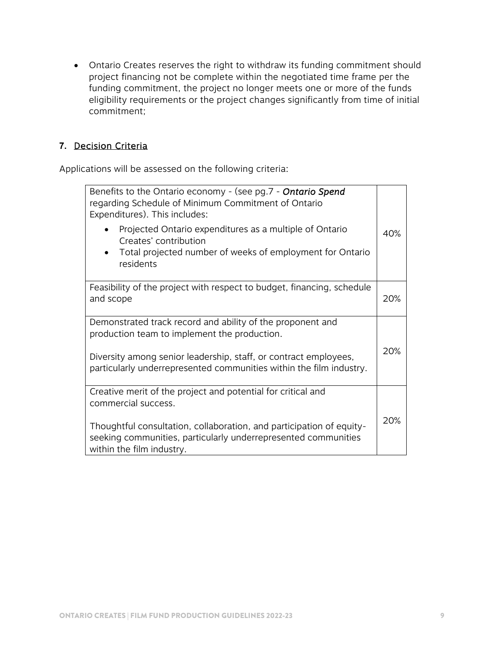Ontario Creates reserves the right to withdraw its funding commitment should project financing not be complete within the negotiated time frame per the funding commitment, the project no longer meets one or more of the funds eligibility requirements or the project changes significantly from time of initial commitment;

#### **7.** Decision Criteria

Applications will be assessed on the following criteria:

| Benefits to the Ontario economy - (see pg.7 - <b>Ontario Spend</b><br>regarding Schedule of Minimum Commitment of Ontario<br>Expenditures). This includes:          |     |  |  |  |
|---------------------------------------------------------------------------------------------------------------------------------------------------------------------|-----|--|--|--|
| Projected Ontario expenditures as a multiple of Ontario<br>Creates' contribution<br>Total projected number of weeks of employment for Ontario<br>residents          | 40% |  |  |  |
| Feasibility of the project with respect to budget, financing, schedule<br>and scope                                                                                 | 20% |  |  |  |
| Demonstrated track record and ability of the proponent and<br>production team to implement the production.                                                          |     |  |  |  |
| Diversity among senior leadership, staff, or contract employees,<br>particularly underrepresented communities within the film industry.                             | 20% |  |  |  |
| Creative merit of the project and potential for critical and<br>commercial success.                                                                                 |     |  |  |  |
| Thoughtful consultation, collaboration, and participation of equity-<br>seeking communities, particularly underrepresented communities<br>within the film industry. |     |  |  |  |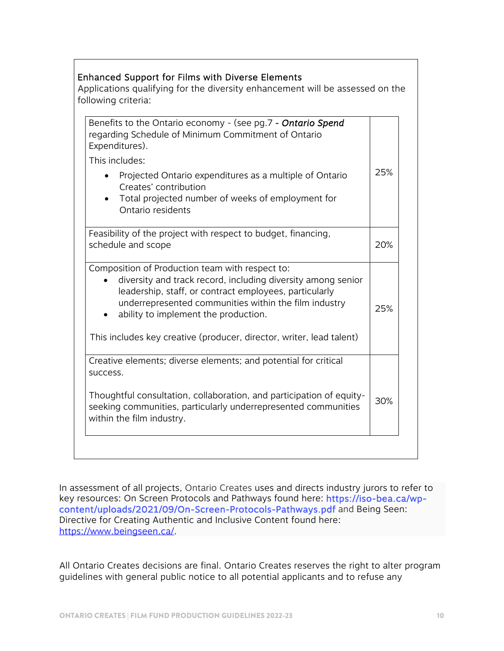| Benefits to the Ontario economy - (see pg.7 - Ontario Spend<br>regarding Schedule of Minimum Commitment of Ontario<br>Expenditures).                                                                                                                                       |     |  |  |
|----------------------------------------------------------------------------------------------------------------------------------------------------------------------------------------------------------------------------------------------------------------------------|-----|--|--|
| This includes:                                                                                                                                                                                                                                                             |     |  |  |
| Projected Ontario expenditures as a multiple of Ontario<br>Creates' contribution<br>Total projected number of weeks of employment for<br>Ontario residents                                                                                                                 | 25% |  |  |
| Feasibility of the project with respect to budget, financing,<br>schedule and scope                                                                                                                                                                                        | 20% |  |  |
| Composition of Production team with respect to:<br>diversity and track record, including diversity among senior<br>leadership, staff, or contract employees, particularly<br>underrepresented communities within the film industry<br>ability to implement the production. | 25% |  |  |
| This includes key creative (producer, director, writer, lead talent)                                                                                                                                                                                                       |     |  |  |
| Creative elements; diverse elements; and potential for critical<br>success.                                                                                                                                                                                                |     |  |  |
| Thoughtful consultation, collaboration, and participation of equity-<br>seeking communities, particularly underrepresented communities<br>within the film industry.                                                                                                        | 30% |  |  |

Enhanced Support for Films with Diverse Elements

In assessment of all projects, Ontario Creates uses and directs industry jurors to refer to key resources: On Screen Protocols and Pathways found here: [https://iso-bea.ca/wp](https://iso-bea.ca/wp-content/uploads/2021/09/On-Screen-Protocols-Pathways.pdf)[content/uploads/2021/09/On-Screen-Protocols-Pathways.pdf](https://iso-bea.ca/wp-content/uploads/2021/09/On-Screen-Protocols-Pathways.pdf) and Being Seen: Directive for Creating Authentic and Inclusive Content found here: https://www.beingseen.ca/.

All Ontario Creates decisions are final. Ontario Creates reserves the right to alter program guidelines with general public notice to all potential applicants and to refuse any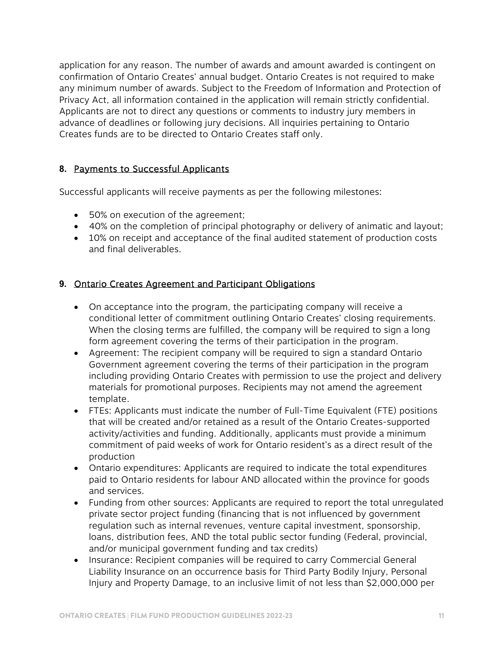application for any reason. The number of awards and amount awarded is contingent on confirmation of Ontario Creates' annual budget. Ontario Creates is not required to make any minimum number of awards. Subject to the Freedom of Information and Protection of Privacy Act, all information contained in the application will remain strictly confidential. Applicants are not to direct any questions or comments to industry jury members in advance of deadlines or following jury decisions. All inquiries pertaining to Ontario Creates funds are to be directed to Ontario Creates staff only.

#### **8.** Payments to Successful Applicants

Successful applicants will receive payments as per the following milestones:

- 50% on execution of the agreement;
- 40% on the completion of principal photography or delivery of animatic and layout;
- 10% on receipt and acceptance of the final audited statement of production costs and final deliverables.

#### **9.** Ontario Creates Agreement and Participant Obligations

- On acceptance into the program, the participating company will receive a conditional letter of commitment outlining Ontario Creates' closing requirements. When the closing terms are fulfilled, the company will be required to sign a long form agreement covering the terms of their participation in the program.
- Agreement: The recipient company will be required to sign a standard Ontario Government agreement covering the terms of their participation in the program including providing Ontario Creates with permission to use the project and delivery materials for promotional purposes. Recipients may not amend the agreement template.
- FTEs: Applicants must indicate the number of Full-Time Equivalent (FTE) positions that will be created and/or retained as a result of the Ontario Creates-supported activity/activities and funding. Additionally, applicants must provide a minimum commitment of paid weeks of work for Ontario resident's as a direct result of the production
- Ontario expenditures: Applicants are required to indicate the total expenditures paid to Ontario residents for labour AND allocated within the province for goods and services.
- Funding from other sources: Applicants are required to report the total unregulated private sector project funding (financing that is not influenced by government regulation such as internal revenues, venture capital investment, sponsorship, loans, distribution fees, AND the total public sector funding (Federal, provincial, and/or municipal government funding and tax credits)
- Insurance: Recipient companies will be required to carry Commercial General Liability Insurance on an occurrence basis for Third Party Bodily Injury, Personal Injury and Property Damage, to an inclusive limit of not less than \$2,000,000 per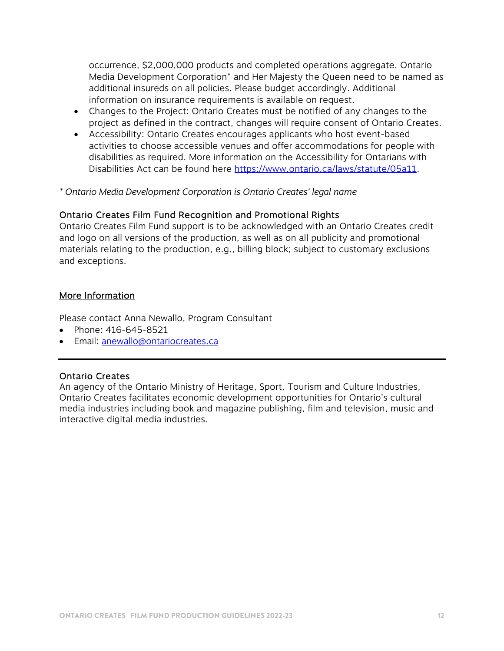occurrence, \$2,000,000 products and completed operations aggregate. Ontario Media Development Corporation\* and Her Majesty the Queen need to be named as additional insureds on all policies. Please budget accordingly. Additional information on insurance requirements is available on request.

- Changes to the Project: Ontario Creates must be notified of any changes to the project as defined in the contract, changes will require consent of Ontario Creates.
- Accessibility: Ontario Creates encourages applicants who host event-based activities to choose accessible venues and offer accommodations for people with disabilities as required. More information on the Accessibility for Ontarians with Disabilities Act can be found here https://www.ontario.ca/laws/statute/05a11.

*\* Ontario Media Development Corporation is Ontario Creates' legal name* 

#### Ontario Creates Film Fund Recognition and Promotional Rights

Ontario Creates Film Fund support is to be acknowledged with an Ontario Creates credit and logo on all versions of the production, as well as on all publicity and promotional materials relating to the production, e.g., billing block; subject to customary exclusions and exceptions.

#### More Information

Please contact Anna Newallo, Program Consultant

- Phone: 416-645-8521
- **Email: anewallo@ontariocreates.ca**

#### Ontario Creates

An agency of the Ontario Ministry of Heritage, Sport, Tourism and Culture Industries, Ontario Creates facilitates economic development opportunities for Ontario's cultural media industries including book and magazine publishing, film and television, music and interactive digital media industries.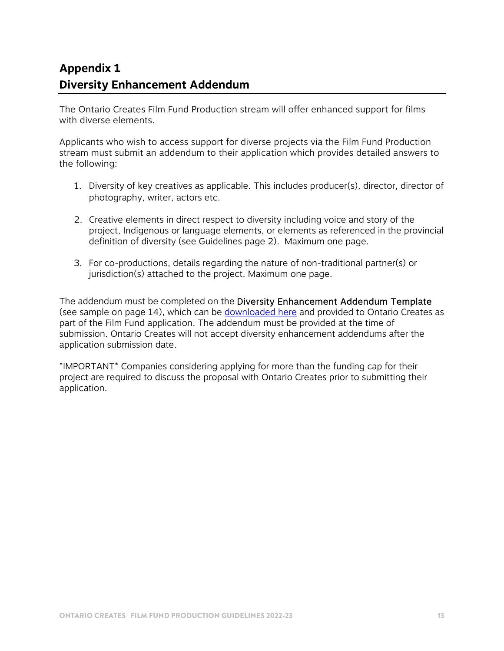# **Appendix 1 Diversity Enhancement Addendum**

The Ontario Creates Film Fund Production stream will offer enhanced support for films with diverse elements.

Applicants who wish to access support for diverse projects via the Film Fund Production stream must submit an addendum to their application which provides detailed answers to the following:

- 1. Diversity of key creatives as applicable. This includes producer(s), director, director of photography, writer, actors etc.
- 2. Creative elements in direct respect to diversity including voice and story of the project, Indigenous or language elements, or elements as referenced in the provincial definition of diversity (see Guidelines page 2). Maximum one page.
- 3. For co-productions, details regarding the nature of non-traditional partner(s) or jurisdiction(s) attached to the project. Maximum one page.

The addendum must be completed on the Diversity Enhancement Addendum Template (see sample on page 14), which can be [downloaded here](https://ontariocreates.ca/uploads/Industry_Initiatives/ENG/Content-and-Marketing/Film-Fund/OMDC-Diversity-Enhancement-Addendum-Template-EN.docx) and provided to Ontario Creates as part of the Film Fund application. The addendum must be provided at the time of submission. Ontario Creates will not accept diversity enhancement addendums after the application submission date.

\*IMPORTANT\* Companies considering applying for more than the funding cap for their project are required to discuss the proposal with Ontario Creates prior to submitting their application.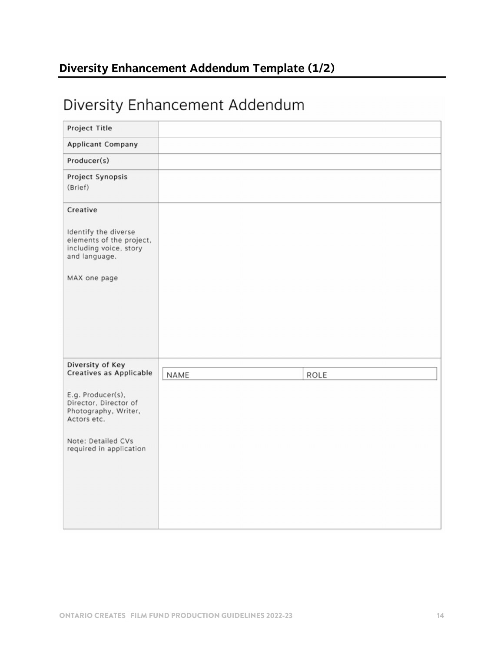# **Diversity Enhancement Addendum Template (1/2)**

# Diversity Enhancement Addendum

| Project Title                                                                               |      |      |
|---------------------------------------------------------------------------------------------|------|------|
| Applicant Company                                                                           |      |      |
| Producer(s)                                                                                 |      |      |
| Project Synopsis<br>(Brief)                                                                 |      |      |
| Creative                                                                                    |      |      |
| Identify the diverse<br>elements of the project,<br>including voice, story<br>and language. |      |      |
| MAX one page                                                                                |      |      |
|                                                                                             |      |      |
|                                                                                             |      |      |
|                                                                                             |      |      |
| Diversity of Key<br>Creatives as Applicable                                                 | NAME | ROLE |
| E.g. Producer(s),<br>Director, Director of<br>Photography, Writer,<br>Actors etc.           |      |      |
| Note: Detailed CVs<br>required in application                                               |      |      |
|                                                                                             |      |      |
|                                                                                             |      |      |
|                                                                                             |      |      |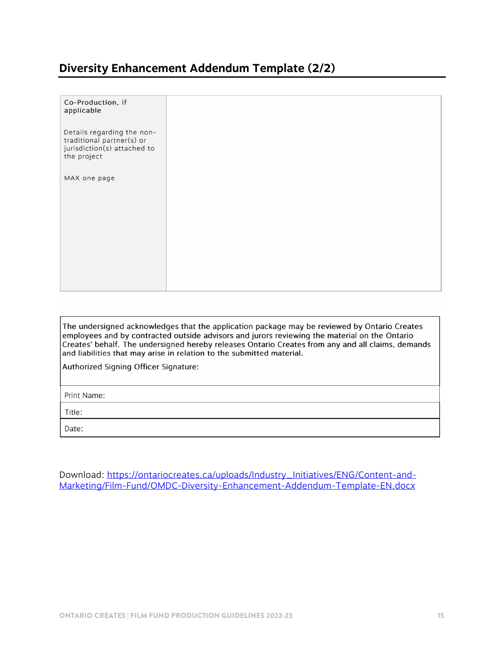### **Diversity Enhancement Addendum Template (2/2)**

| Co-Production, if<br>applicable                                                                       |
|-------------------------------------------------------------------------------------------------------|
| Details regarding the non-<br>traditional partner(s) or<br>jurisdiction(s) attached to<br>the project |
| MAX one page                                                                                          |
|                                                                                                       |
|                                                                                                       |
|                                                                                                       |

The undersigned acknowledges that the application package may be reviewed by Ontario Creates employees and by contracted outside advisors and jurors reviewing the material on the Ontario Creates' behalf. The undersigned hereby releases Ontario Creates from any and all claims, demands and liabilities that may arise in relation to the submitted material.

Authorized Signing Officer Signature:

Print Name:

Title:

Date:

Download: https://ontariocreates.ca/uploads/Industry\_Initiatives/ENG/Content-and-Marketing/Film-Fund/OMDC-Diversity-Enhancement-Addendum-Template-EN.docx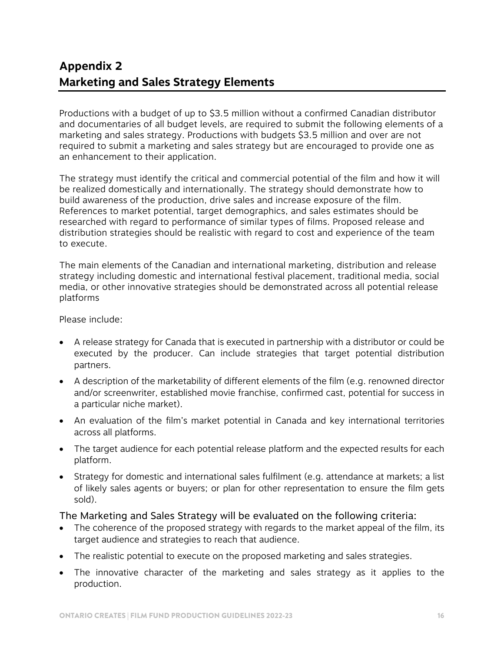# **Appendix 2 Marketing and Sales Strategy Elements**

Productions with a budget of up to \$3.5 million without a confirmed Canadian distributor and documentaries of all budget levels, are required to submit the following elements of a marketing and sales strategy. Productions with budgets \$3.5 million and over are not required to submit a marketing and sales strategy but are encouraged to provide one as an enhancement to their application.

The strategy must identify the critical and commercial potential of the film and how it will be realized domestically and internationally. The strategy should demonstrate how to build awareness of the production, drive sales and increase exposure of the film. References to market potential, target demographics, and sales estimates should be researched with regard to performance of similar types of films. Proposed release and distribution strategies should be realistic with regard to cost and experience of the team to execute.

The main elements of the Canadian and international marketing, distribution and release strategy including domestic and international festival placement, traditional media, social media, or other innovative strategies should be demonstrated across all potential release platforms

Please include:

- A release strategy for Canada that is executed in partnership with a distributor or could be executed by the producer. Can include strategies that target potential distribution partners.
- A description of the marketability of different elements of the film (e.g. renowned director and/or screenwriter, established movie franchise, confirmed cast, potential for success in a particular niche market).
- An evaluation of the film's market potential in Canada and key international territories across all platforms.
- The target audience for each potential release platform and the expected results for each platform.
- Strategy for domestic and international sales fulfilment (e.g. attendance at markets; a list of likely sales agents or buyers; or plan for other representation to ensure the film gets sold).

#### The Marketing and Sales Strategy will be evaluated on the following criteria:

- The coherence of the proposed strategy with regards to the market appeal of the film, its target audience and strategies to reach that audience.
- The realistic potential to execute on the proposed marketing and sales strategies.
- The innovative character of the marketing and sales strategy as it applies to the production.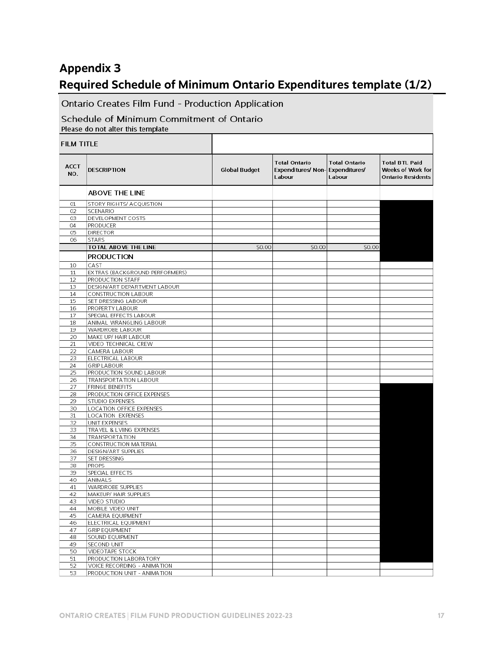## **Appendix 3**

## **Required Schedule of Minimum Ontario Expenditures template (1/2)**

т

Ontario Creates Film Fund - Production Application

#### Schedule of Minimum Commitment of Ontario Please do not alter this template

| <b>FILM TITLE</b>  |                                    |                      |                                                                   |                                |                                                                        |
|--------------------|------------------------------------|----------------------|-------------------------------------------------------------------|--------------------------------|------------------------------------------------------------------------|
| <b>ACCT</b><br>NO. | <b>DESCRIPTION</b>                 | <b>Global Budget</b> | <b>Total Ontario</b><br>Expenditures/ Non-Expenditures/<br>Labour | <b>Total Ontario</b><br>Labour | <b>Total BTL Paid</b><br>Weeks of Work for<br><b>Ontario Residents</b> |
|                    | <b>ABOVE THE LINE</b>              |                      |                                                                   |                                |                                                                        |
| O1                 | STORY RIGHTS/ ACQUISTION           |                      |                                                                   |                                |                                                                        |
| 02                 | SCENARIO                           |                      |                                                                   |                                |                                                                        |
| 03                 | DEVELOPMENT COSTS                  |                      |                                                                   |                                |                                                                        |
| 04                 | PRODUCER                           |                      |                                                                   |                                |                                                                        |
| 05                 | <b>DIRECTOR</b>                    |                      |                                                                   |                                |                                                                        |
| 06                 | <b>STARS</b>                       |                      |                                                                   |                                |                                                                        |
|                    | TOTAL ABOVE THE LINE               | \$0.00               | \$0.00                                                            | \$0.00                         |                                                                        |
|                    | <b>PRODUCTION</b>                  |                      |                                                                   |                                |                                                                        |
| 10                 | CAST                               |                      |                                                                   |                                |                                                                        |
| 11                 | EX TRAS (BACKGROUND PERFORMERS)    |                      |                                                                   |                                |                                                                        |
| 12                 | PRODUCTION STAFF                   |                      |                                                                   |                                |                                                                        |
| 13                 | DESIGN/ART DEPARTMENT LABOUR       |                      |                                                                   |                                |                                                                        |
| 14                 | CONSTRUCTION LABOUR                |                      |                                                                   |                                |                                                                        |
| 15                 | SET DRESSING LABOUR                |                      |                                                                   |                                |                                                                        |
| 16                 | PROPERTY LABOUR                    |                      |                                                                   |                                |                                                                        |
| 17                 | SPECIAL EFFECTS LABOUR             |                      |                                                                   |                                |                                                                        |
| 18                 | ANIMAL WRANGLING LABOUR            |                      |                                                                   |                                |                                                                        |
| 19                 | WARDROBE LABOUR                    |                      |                                                                   |                                |                                                                        |
| 20                 | MAKE UP/ HAIR LABOUR               |                      |                                                                   |                                |                                                                        |
| 21                 | VIDEO TECHNICAL CREW               |                      |                                                                   |                                |                                                                        |
| 22                 | CAMERA LABOUR                      |                      |                                                                   |                                |                                                                        |
| 23                 | ELECTRICAL LABOUR                  |                      |                                                                   |                                |                                                                        |
| 24                 | <b>GRIP LABOUR</b>                 |                      |                                                                   |                                |                                                                        |
| 25                 | PRODUCTION SOUND LABOUR            |                      |                                                                   |                                |                                                                        |
| 26                 | TRANSPORTATION LABOUR              |                      |                                                                   |                                |                                                                        |
| 27                 | <b>FRINGE BENEFITS</b>             |                      |                                                                   |                                |                                                                        |
| 28                 | PRODUCTION OFFICE EXPENSES         |                      |                                                                   |                                |                                                                        |
| 29                 | STUDIO EXPENSES                    |                      |                                                                   |                                |                                                                        |
| 30                 | LOCATION OFFICE EXPENSES           |                      |                                                                   |                                |                                                                        |
| 31                 | LOCATION EXPENSES<br>UNIT EXPENSES |                      |                                                                   |                                |                                                                        |
| 32<br>33           | TRAVEL & LVIING EXPENSES           |                      |                                                                   |                                |                                                                        |
| 34                 | <b>TRANSPORTATION</b>              |                      |                                                                   |                                |                                                                        |
| 35                 | CONSTRUCTION MATERIAL              |                      |                                                                   |                                |                                                                        |
| 36                 | DESIGN/ART SUPPLIES                |                      |                                                                   |                                |                                                                        |
| 37                 | SET DRESSING                       |                      |                                                                   |                                |                                                                        |
| 38                 | PROPS                              |                      |                                                                   |                                |                                                                        |
| 39                 | SPECIAL EFFECTS                    |                      |                                                                   |                                |                                                                        |
| 40                 | ANIMALS                            |                      |                                                                   |                                |                                                                        |
| 41                 | WARDROBE SUPPLIES                  |                      |                                                                   |                                |                                                                        |
| 42                 | MAKEUP/ HAIR SUPPLIES              |                      |                                                                   |                                |                                                                        |
| 43                 | VIDEO STUDIO                       |                      |                                                                   |                                |                                                                        |
| 44                 | MOBILE VIDEO UNIT                  |                      |                                                                   |                                |                                                                        |
| 45                 | CAMERA EQUIPMENT                   |                      |                                                                   |                                |                                                                        |
| 46                 | ELECTRICAL EQUIPMENT               |                      |                                                                   |                                |                                                                        |
| 47                 | <b>GRIP EQUIPMENT</b>              |                      |                                                                   |                                |                                                                        |
| 48                 | SOUND EQUIPMENT                    |                      |                                                                   |                                |                                                                        |
| 49                 | SECOND UNIT                        |                      |                                                                   |                                |                                                                        |
| 50                 | VIDEOTAPE STOCK                    |                      |                                                                   |                                |                                                                        |
| 51                 | PRODUCTION LABORATORY              |                      |                                                                   |                                |                                                                        |
| 52                 | VOICE RECORDING - ANIMATION        |                      |                                                                   |                                |                                                                        |
| 53                 | PRODUCTION UNIT - ANIMATION        |                      |                                                                   |                                |                                                                        |